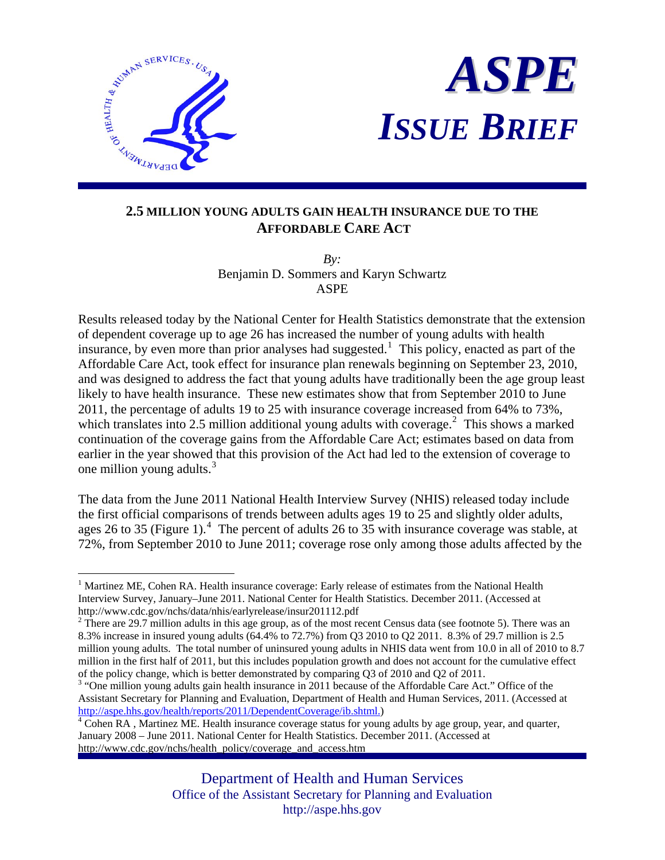



## **2.5 MILLION YOUNG ADULTS GAIN HEALTH INSURANCE DUE TO THE AFFORDABLE CARE ACT**

*By:* Benjamin D. Sommers and Karyn Schwartz ASPE

Results released today by the National Center for Health Statistics demonstrate that the extension of dependent coverage up to age 26 has increased the number of young adults with health insurance, by even more than prior analyses had suggested.<sup>[1](#page-0-0)</sup> This policy, enacted as part of the Affordable Care Act, took effect for insurance plan renewals beginning on September 23, 2010, and was designed to address the fact that young adults have traditionally been the age group least likely to have health insurance. These new estimates show that from September 2010 to June 2011, the percentage of adults 19 to 25 with insurance coverage increased from 64% to 73%, which translates into [2](#page-0-1).5 million additional young adults with coverage.<sup>2</sup> This shows a marked continuation of the coverage gains from the Affordable Care Act; estimates based on data from earlier in the year showed that this provision of the Act had led to the extension of coverage to one million young adults.<sup>[3](#page-0-2)</sup>

The data from the June 2011 National Health Interview Survey (NHIS) released today include the first official comparisons of trends between adults ages 19 to 25 and slightly older adults, ages 26 to 35 (Figure 1).<sup>[4](#page-0-3)</sup> The percent of adults 26 to 35 with insurance coverage was stable, at 72%, from September 2010 to June 2011; coverage rose only among those adults affected by the

<span id="page-0-0"></span><sup>1</sup> <sup>1</sup> Martinez ME, Cohen RA. Health insurance coverage: Early release of estimates from the National Health Interview Survey, January–June 2011. National Center for Health Statistics. December 2011. (Accessed at http://www.cdc.gov/nchs/data/nhis/earlyrelease/insur201112.pdf

<span id="page-0-1"></span> $2^2$  There are 29.7 million adults in this age group, as of the most recent Census data (see footnote 5). There was an 8.3% increase in insured young adults (64.4% to 72.7%) from Q3 2010 to Q2 2011. 8.3% of 29.7 million is 2.5 million young adults. The total number of uninsured young adults in NHIS data went from 10.0 in all of 2010 to 8.7 million in the first half of 2011, but this includes population growth and does not account for the cumulative effect of the policy change, which is better demonstrated by comparing Q3 of 2010 and Q2 of 2011.

<span id="page-0-2"></span><sup>&</sup>lt;sup>3</sup> "One million young adults gain health insurance in 2011 because of the Affordable Care Act." Office of the Assistant Secretary for Planning and Evaluation, Department of Health and Human Services, 2011. (Accessed at <http://aspe.hhs.gov/health/reports/2011/DependentCoverage/ib.shtml.>) [4](http://aspe.hhs.gov/health/reports/2011/DependentCoverage/ib.shtml.)

<span id="page-0-3"></span> $\overline{A}$  Cohen RA, Martinez ME. Health insurance coverage status for young adults by age group, year, and quarter, January 2008 – June 2011. National Center for Health Statistics. December 2011. (Accessed at http://www.cdc.gov/nchs/health\_policy/coverage\_and\_access.htm